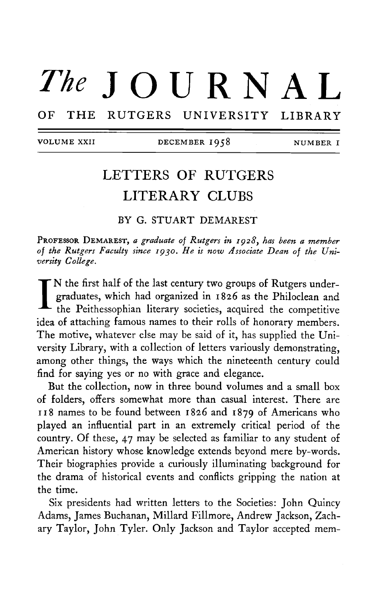# The  $J$  OURNAL OF THE RUTGERS UNIVERSITY LIBRARY

VOLUME XXII DECEMBER 1958 NUMBER I

## LETTERS OF RUTGERS LITERARY CLUBS

BY G. STUART DEMAREST

PROFESSOR DEMAREST, a graduate of Rutgers in 1928, has been a member *of the Rutgers Faculty since IQ30. He is now Associate Dean of the University College.* 

I. N the first half of the last century two groups of Rutgers undergraduates, which had organized in 1826 as the Philoclean and the Peithessophian literary societies, acquired the competitive idea of attaching famous names to their rolls of honorary members. The motive, whatever else may be said of it, has supplied the University Library, with a collection of letters variously demonstrating, among other things, the ways which the nineteenth century could find for saying yes or no with grace and elegance.

But the collection, now in three bound volumes and a small box of folders, offers somewhat more than casual interest. There are 118 names to be found between 1826 and 1879 of Americans who played an influential part in an extremely critical period of the country. Of these, 47 may be selected as familiar to any student of American history whose knowledge extends beyond mere by-words. Their biographies provide a curiously illuminating background for the drama of historical events and conflicts gripping the nation at the time.

Six presidents had written letters to the Societies: John Quincy Adams, James Buchanan, Millard Fillmore, Andrew Jackson, Zachary Taylor, John Tyler. Only Jackson and Taylor accepted mem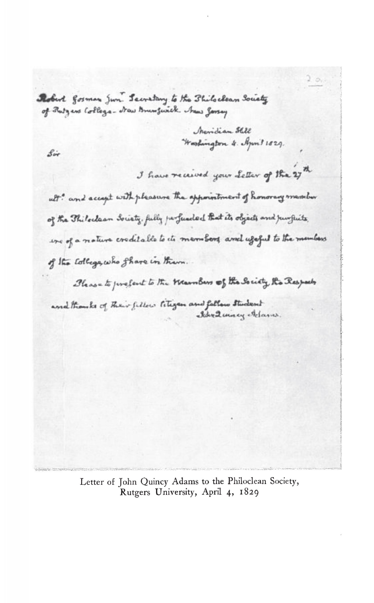Robert gosman Jun. Secretary to the Shiloclean Society of Rutgens College- New Brunswick News Jarsey

> *<u><i>Jheridian Still*</u> Worshington 4. April 1829.

 $s_{ir}$ 

I have received your Letter of the 27th

Iden Quincy Adams.

ult? and accept with pleasure the appointment of honorary messiber of the Philoclaan Society, fully perfuseded that its objects and jumfuits. we of a noture creditable to its members and useful to the members of the college, who share in them.

Blease to prefert to the Warnbers of the Society Ro Respects and thought of their fillow litigan and follow student

> Letter of John Quincy Adams to the Philoclean Society, Rutgers University, April 4, 1829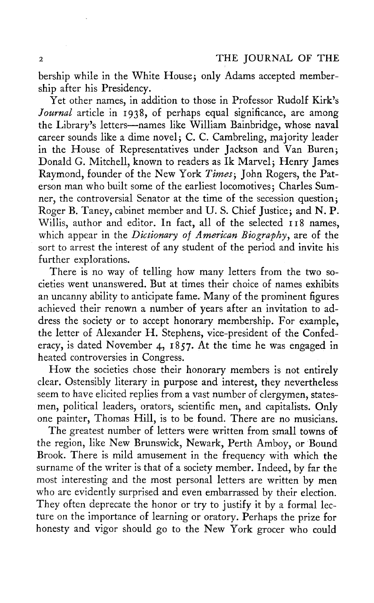bership while in the White House; only Adams accepted membership after his Presidency.

Yet other names, in addition to those in Professor Rudolf Kirk's *Journal* article in 1938, of perhaps equal significance, are among the Library's letters—names like William Bainbridge, whose naval career sounds like a dime novel; C. C. Cambreling, majority leader in the House of Representatives under Jackson and Van Buren; Donald G. Mitchell, known to readers as Ik Marvel; Henry James Raymond, founder of the New York Times; John Rogers, the Paterson man who built some of the earliest locomotives; Charles Sumner, the controversial Senator at the time of the secession question; Roger B. Taney, cabinet member and U. S. Chief Justice, and N. P. Willis, author and editor. In fact, all of the selected 118 names, which appear in the *Dictionary of American Biography*, are of the sort to arrest the interest of any student of the period and invite his further explorations.

There is no way of telling how many letters from the two societies went unanswered. But at times their choice of names exhibits an uncanny ability to anticipate fame. Many of the prominent figures achieved their renown a number of years after an invitation to address the society or to accept honorary membership. For example, the letter of Alexander H. Stephens, vice-president of the Confederacy, is dated November 4, 1857. At the time he was engaged in heated controversies in Congress.

How the societies chose their honorary members is not entirely clear. Ostensibly literary in purpose and interest, they nevertheless seem to have elicited replies from a vast number of clergymen, statesmen, political leaders, orators, scientific men, and capitalists. Only one painter, Thomas Hill, is to be found. There are no musicians.

The greatest number of letters were written from small towns of the region, like New Brunswick, Newark, Perth Amboy, or Bound Brook. There is mild amusement in the frequency with which the surname of the writer is that of a society member. Indeed, by far the most interesting and the most personal letters are written by men who are evidently surprised and even embarrassed by their election. They often deprecate the honor or try to justify it by a formal lecture on the importance of learning or oratory. Perhaps the prize for honesty and vigor should go to the New York grocer who could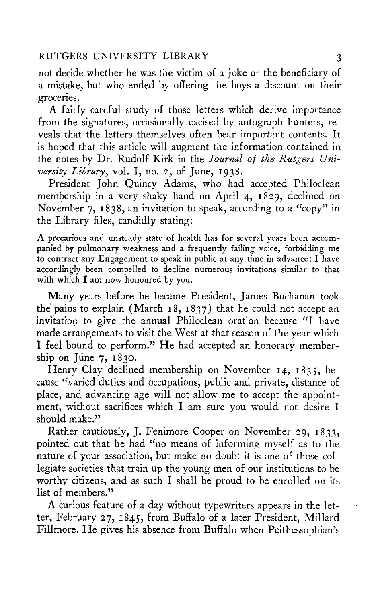not decide whether he was the victim of a joke or the beneficiary of a mistake, but who ended by offering the boys a discount on their groceries.

A fairly careful study of those letters which derive importance from the signatures, occasionally excised by autograph hunters, reveals that the letters themselves often bear important contents. It is hoped that this article will augment the information contained in the notes by Dr. Rudolf Kirk in the *Journal of the Rutgers University Library,* vol. I, no. 2, of June, 1938.

President John Quincy Adams, who had accepted Philoclean membership in a very shaky hand on April 4, 1829, declined on November 7, 1838, an invitation to speak, according to a "copy" in the Library files, candidly stating:

A precarious and unsteady state of health has for several years been accompanied by pulmonary weakness and a frequently failing voice, forbidding me to contract any Engagement to speak in public at any time in advance : I have accordingly been compelled to decline numerous invitations similar to that with which I am now honoured by you.

Many years before he became President, James Buchanan took the pains to explain (March 18, 1837) that he could not accept an invitation to give the annual Philoclean oration because "I have made arrangements to visit the West at that season of the year which I feel bound to perform." He had accepted an honorary membership on June 7, 1830.

Henry Clay declined membership on November 14, 1835, because "varied duties and occupations, public and private, distance of place, and advancing age will not allow me to accept the appointment, without sacrifices which I am sure you would not desire I should make."

Rather cautiously, J. Fenimore Cooper on November 29, 1833, pointed out that he had "no means of informing myself as to the nature of your association, but make no doubt it is one of those collegiate societies that train up the young men of our institutions to be worthy citizens, and as such I shall be proud to be enrolled on its list of members."

A curious feature of a day without typewriters appears in the letter, February 27, 1845, from Buffalo of a later President, Millard Fillmore. He gives his absence from Buffalo when Peithessophian's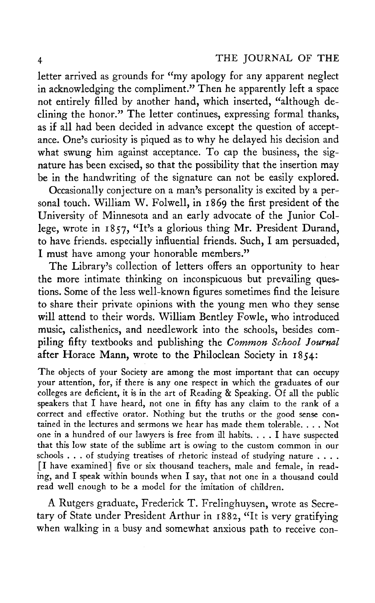letter arrived as grounds for "my apology for any apparent neglect in acknowledging the compliment." Then he apparently left a space not entirely filled by another hand, which inserted, "although declining the honor." The letter continues, expressing formal thanks, as if all had been decided in advance except the question of acceptance. One's curiosity is piqued as to why he delayed his decision and what swung him against acceptance. To cap the business, the signature has been excised, so that the possibility that the insertion may be in the handwriting of the signature can not be easily explored.

Occasionally conjecture on a man's personality is excited by a personal touch. William W. Folwell, in 1869 the first president of the University of Minnesota and an early advocate of the Junior College, wrote in 1857, "It's <sup>a</sup> glorious thing Mr. President Durand, to have friends, especially influential friends. Such, I am persuaded, I must have among your honorable members."

The Library's collection of letters offers an opportunity to hear the more intimate thinking on inconspicuous but prevailing questions. Some of the less well-known figures sometimes find the leisure to share their private opinions with the young men who they sense will attend to their words. William Bentley Fowle, who introduced music, calisthenics, and needlework into the schools, besides compiling fifty textbooks and publishing the *Common School Journal*  after Horace Mann, wrote to the Philoclean Society in 1854:

The objects of your Society are among the most important that can occupy your attention, for, if there is any one respect in which the graduates of our colleges are deficient, it is in the art of Reading & Speaking. Of all the public speakers that I have heard, not one in fifty has any claim to the rank of a correct and effective orator. Nothing but the truths or the good sense contained in the lectures and sermons we hear has made them tolerable. . . . Not one in a hundred of our lawyers is free from ill habits. .. . I have suspected that this low state of the sublime art is owing to the custom common in our schools .. . of studying treatises of rhetoric instead of studying nature ... . [I have examined] five or six thousand teachers, male and female, in reading, and I speak within bounds when I say, that not one in a thousand could read well enough to be a model for the imitation of children.

A Rutgers graduate, Frederick T. Frelinghuysen, wrote as Secretary of State under President Arthur in 1882, "It is very gratifying when walking in a busy and somewhat anxious path to receive con-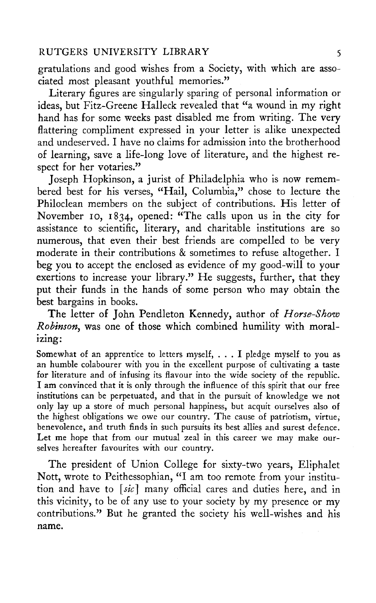gratulations and good wishes from a Society, with which are associated most pleasant youthful memories."

Literary figures are singularly sparing of personal information or ideas, but Fitz-Greene Halleck revealed that "a wound in my right hand has for some weeks past disabled me from writing. The very flattering compliment expressed in your letter is alike unexpected and undeserved. I have no claims for admission into the brotherhood of learning, save a life-long love of literature, and the highest respect for her votaries."

Joseph Hopkinson, a jurist of Philadelphia who is now remembered best for his verses, "Hail, Columbia," chose to lecture the Philoclean members on the subject of contributions. His letter of November 10, 1834, opened: "The calls upon us in the city for assistance to scientific, literary, and charitable institutions are so numerous, that even their best friends are compelled to be very moderate in their contributions & sometimes to refuse altogether. I beg you to accept the enclosed as evidence of my good-will to your exertions to increase your library." He suggests, further, that they put their funds in the hands of some person who may obtain the best bargains in books.

The letter of John Pendleton Kennedy, author of *Horse-Show Robinson, was* one of those which combined humility with moralizing:

Somewhat of an apprentice to letters myself, .. . I pledge myself to you as an humble colabourer with you in the excellent purpose of cultivating a taste for literature and of infusing its flavour into the wide society of the republic. I am convinced that it is only through the influence of this spirit that our free institutiôns can be perpetuated, and that in the pursuit of knowledge we not only lay up a store of much personal happiness, but acquit ourselves also of the highest obligations we owe our country. The cause of patriotism, virtue, benevolence, and truth finds in such pursuits its best allies and surest defence. Let me hope that from our mutual zeal in this career we may make ourselves hereafter favourites with our country.

The president of Union College for sixty-two years, Eliphalet Nott, wrote to Peithessophian, "I am too remote from your institution and have to *[sic]* many official cares and duties here, and in this vicinity, to be of any use to your society by my presence or my contributions." But he granted the society his well-wishes and his name.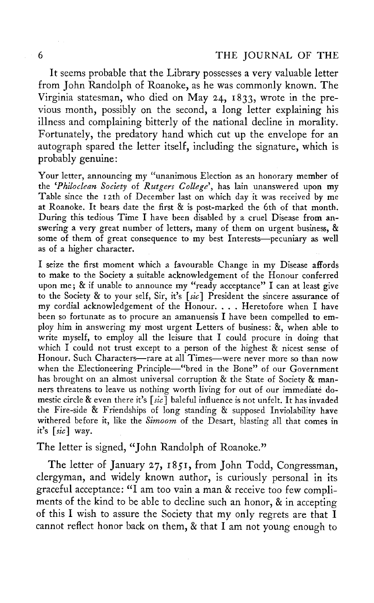It seems probable that the Library possesses a very valuable letter from John Randolph of Roanoke, as he was commonly known. The Virginia statesman, who died on May 24, 1833, wrote in the previous month, possibly on the second, a long letter explaining his illness and complaining bitterly of the national decline in morality. Fortunately, the predatory hand which cut up the envelope for an autograph spared the letter itself, including the signature, which is probably genuine:

Your letter, announcing my "unanimous Election as an honorary member of the '*Philoclean Society* of *Rutgers College\* has lain unanswered upon my Table since the 12th of December last on which day it was received by me at Roanoke. It bears date the first  $\&$  is post-marked the 6th of that month. During this tedious Time I have been disabled by a cruel Disease from answering a very great number of letters, many of them on urgent business, & some of them of great consequence to my best Interests—pecuniary as well as of a higher character.

I seize the first moment which a favourable Change in my Disease affords to make to the Society a suitable acknowledgement of the Honour conferred upon me; & if unable to announce my "ready acceptance" I can at least give to the Society & to your self, Sir, it's *[sic]* President the sincere assurance of my cordial acknowledgement of the Honour. . . . Heretofore when I have been so fortunate as to procure an amanuensis I have been compelled to employ him in answering my most urgent Letters of business: &, when able to write myself, to employ all the leisure that I could procure in doing that which I could not trust except to a person of the highest & nicest sense of Honour. Such Characters—rare at all Times—were never more so than now when the Electioneering Principle—"bred in the Bone" of our Government has brought on an almost universal corruption & the State of Society & manners threatens to leave us nothing worth living for out of our immediate domestic circle & even there it's *[sic]* baleful influence is not unfelt. It has invaded the Fire-side & Friendships of long standing & supposed Inviolability have withered before it, like the *Simoom* of the Desart, blasting all that comes in it's *[sic]* way.

### The letter is signed, "John Randolph of Roanoke."

The letter of January 27, 1851, from John Todd, Congressman, clergyman, and widely known author, is curiously personal in its graceful acceptance: "I am too vain a man & receive too few compliments of the kind to be able to decline such an honor, & in accepting of this I wish to assure the Society that my only regrets are that I cannot reflect honor back on them, & that I am not young enough to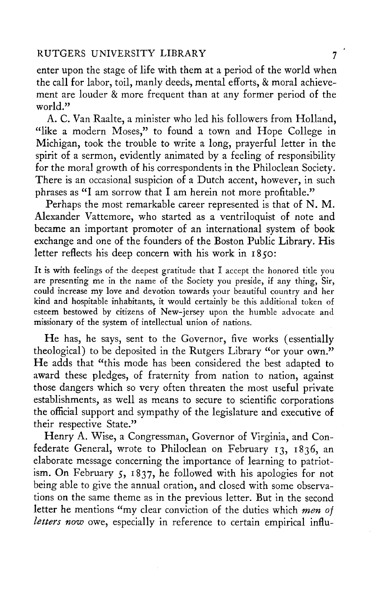enter upon the stage of life with them at a period of the world when the call for labor, toil, manly deeds, mental efforts, & moral achievement are louder & more frequent than at any former period of the world."

A. C. Van Raalte, a minister who led his followers from Holland, "like a modern Moses," to found a town and Hope College in Michigan, took the trouble to write a long, prayerful letter in the spirit of a sermon, evidently animated by a feeling of responsibility for the moral growth of his correspondents in the Philoclean Society. There is an occasional suspicion of a Dutch accent, however, in such phrases as "I am sorrow that I am herein not more profitable."

Perhaps the most remarkable career represented is that of N. M. Alexander Vattemore, who started as a ventriloquist of note and became an important promoter of an international system of book exchange and one of the founders of the Boston Public Library. His letter reflects his deep concern with his work in 1850:

It is with feelings of the deepest gratitude that I accept the honored title you are presenting me in the name of the Society you preside, if any thing, Sir, could increase my love and devotion towards your beautiful country and her kind and hospitable inhabitants, it would certainly be this additional token of esteem bestowed by citizens of New-jersey upon the humble advocate and missionary of the system of intellectual union of nations.

He has, he says, sent to the Governor, five works (essentially theological) to be deposited in the Rutgers Library "or your own." He adds that "this mode has been considered the best adapted to award these pledges, of fraternity from nation to nation, against those dangers which so very often threaten the most useful private establishments, as well as means to secure to scientific corporations the official support and sympathy of the legislature and executive of their respective State."

Henry A. Wise, a Congressman, Governor of Virginia, and Confederate General, wrote to Philoclean on February 13, 1836, an elaborate message concerning the importance of learning to patriotism. On February 5, 1837, he followed with his apologies for not being able to give the annual oration, and closed with some observations on the same theme as in the previous letter. But in the second letter he mentions "my clear conviction of the duties which *men of letters now* owe, especially in reference to certain empirical influ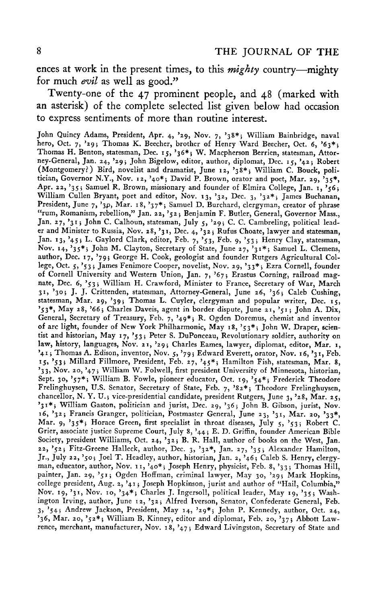ences at work in the present times, to this *mighty* country—mighty for much *evil* as well as good."

Twenty-one of the 47 prominent people, and 48 (marked with an asterisk) of the complete selected list given below had occasion to express sentiments of more than routine interest.

John Quincy Adams, President, Apr. 4, >29, Nov. 7, '38\*} William Bainbridge, naval hero, Oct. 7, '29; Thomas K. Beecher, brother of Henry Ward Beecher, Oct. 6, '63\*; Thomas H. Benton, statesman, Dec. 15, '36\*; W. Macpherson Berrien, statesman, Attorney-General, Jan. 24, '29; John Bigelow, editor, author, diplomat, Dec. 15, '42; Robert (Montgomery?) Bird, novelist and dramatist, June 12, '38\*; William C. Bouck, politician, Governor N.Y., Nov. 12, '40\*; David P. Brown, orator and poet, Mar. 29, '35\*, Apr. 22, '35; Samuel R. Brown, missionary and founder of Elmira College, Jan. 1, '56; William Cullen Bryant, poet and editor, Nov. 13, '32, Dec. 3, '32\*; James Buchanan, President, June 7, '3p, Mar. 18, '37\*; Samuel D. Burchard, clergyman, creator of phrase "rum, Romanism, rebellion," Jan. 22, '52\$ Benjamin F. Butler, General, Governor Mass., Jan. 27, '31; John C. Calhoun, statesman, July 5, '29; C. C. Cambreling, political leader and Minister to Russia, Nov. 28,  $31$ , Dec. 4,  $32$ ; Rufus Choate, lawyer and statesman, Jan. 13,  $45$ ; L. Gaylord Clark, editor, Feb. 7,  $53$ , Feb. 9,  $53$ ; Henry Clay, statesman, Nov. 14, '35<sup>\*</sup>; John M. Clayton, Secretary of State, June 27, '31<sup>\*</sup>; Samuel L. Clemens, author, Dec. 17, '79 j George H. Cook, geologist and founder Rutgers Agricultural College, Oct. 5, '53} James Fenimore Cooper, novelist, Nov. 29, '33\*} Ezra Cornell, founder of Cornell University and Western Union, Jan. 7, '67; Erastus Corning, railroad magnate, Dec. 6, '53; William H. Crawford, Minister to France, Secretary of War, March 31, '30j J. J. Crittenden, statesman, Attorney-General, June 26, '36; Caleb Cushing, statesman, Mar. 29, '39; Thomas L. Cuyler, clergyman and popular writer, Dec. 15, '53\*, May 28, '66 j Charles Daveis, agent in border dispute, June 21, '515 John A. Dix, General, Secretary of Treasury, Feb. 7, '49\*5 R. Ogden Doremus, chemist and inventor of arc light, founder of New York Philharmonic, May 18, '53\*; John W. Draper, scientist and historian, May 17, '53; Peter S. DuPonceau, Revolutionary soldier, authority on law, history, languages, Nov. 21, '29; Charles Eames, lawyer, diplomat, editor, Mar. 1, '41; Thomas A. Edison, inventor, Nov. 5, '79; Edward Everett, orator, Nov. 16, '31, Feb. 15, '53; Millard Fillmore, President, Feb. 27, '45\*; Hamilton Fish, statesman, Mar. 8, '33, Nov. 20, '475 William W. Folwell, first president University of Minnesota, historian, Sept. 30, '57\*; William B. Fowle, pioneer educator, Oct. 19, '54\*; Frederick Theodore Frelinghuysen, U.S. Senator, Secretary of State, Feb. 7, '82\*; Theodore Frelinghuysen, chancellor, N. Y. U.j vice-presidential candidate, president Rutgers, June 3, '28, Mar. 25, '31\*; William Gaston, politician and jurist, Dec. 29, '36; John B. Gibson, jurist, Nov. 16, '32; Francis Granger, politician, Postmaster General, June 23, '31, Mar. 20, '33\*, Mar. 9, '35\*; Horace Green, first specialist in throat diseases, July 5, '53; Robert C. Grier, associate justice Supreme Court, July 8, '445 E. D. Griffin, founder American Bible Society, president Williams, Oct. 24, '32; B. R. Hall, author of books on the West, Jan. 22, '52; Fitz-Greene Halleck, author, Dec. 3, '32\*, Jan. 27, '35; Alexander Hamilton, Jr., July 22, '50; Joel T. Headley, author, historian, Jan. 2, '46; Caleb S. Henry, clergyman, educator, author, Nov. 11, '40\*; Joseph Henry, physicist, Feb. 8, '33; Thomas Hill, painter, Jan. 29, '51; Ogden Hoffman, criminal lawyer, May 30, '29; Mark Hopkins, college president, Aug. 2, '41 j Joseph Hopkinson, jurist and author of "Hail, Columbia," Nov. 19, '31, Nov. 10, \*34\*i Charles J. Ingersoll, political leader, May 19, '35 j Washington Irving, author, June 12, '325 Alfred Iverson, Senator, Confederate General, Feb. ington Irving, author, June 12, '32; Alfred Iverson, Senator, Confederate General, Feb.<br>3, '54; Andrew Jackson, President, May 14, '29\*; John P. Kennedy, author, Oct. 24,  $35, 34,$  Almarcy Jackson, Testic and diplomatic Removement Law - 20, '375' Abbott Law - 375' Abbott Law 30,  $r_1a_1, 2b_1, 32$ , William D. Noney, center and diplomat, Feb. 20,  $3/3$  Abbott Law-